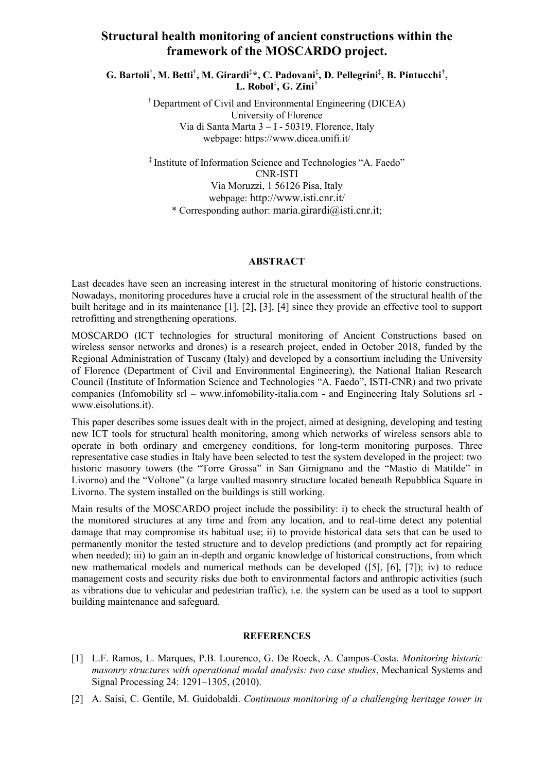## **Structural health monitoring of ancient constructions within the framework of the MOSCARDO project.**

**G. Bartoli† , M. Betti† , M. Girardi‡ \*, C. Padovani‡ , D. Pellegrini‡ , B. Pintucchi† , L. Robol‡ , G. Zini†**

> † Department of Civil and Environmental Engineering (DICEA) University of Florence Via di Santa Marta 3 – I - 50319, Florence, Italy webpage: https://www.dicea.unifi.it/

‡ Institute of Information Science and Technologies "A. Faedo" CNR-ISTI Via Moruzzi, 1 56126 Pisa, Italy webpage: [http://www.isti.cnr.it](http://www.isti.cnr.it/)/ \* Corresponding author: [maria.girardi@isti.cnr.it](mailto:maria.girardi@isti.cnr.it);

## **ABSTRACT**

Last decades have seen an increasing interest in the structural monitoring of historic constructions. Nowadays, monitoring procedures have a crucial role in the assessment of the structural health of the built heritage and in its maintenance [1], [2], [3], [4] since they provide an effective tool to support retrofitting and strengthening operations.

MOSCARDO (ICT technologies for structural monitoring of Ancient Constructions based on wireless sensor networks and drones) is a research project, ended in October 2018, funded by the Regional Administration of Tuscany (Italy) and developed by a consortium including the University of Florence (Department of Civil and Environmental Engineering), the National Italian Research Council (Institute of Information Science and Technologies "A. Faedo", ISTI-CNR) and two private companies (Infomobility srl – [www.infomobility-italia.com](http://www.infomobility-italia.com/) - and Engineering Italy Solutions srl [www.eisolutions.it\)](http://www.eisolutions.it/).

This paper describes some issues dealt with in the project, aimed at designing, developing and testing new ICT tools for structural health monitoring, among which networks of wireless sensors able to operate in both ordinary and emergency conditions, for long-term monitoring purposes. Three representative case studies in Italy have been selected to test the system developed in the project: two historic masonry towers (the "Torre Grossa" in San Gimignano and the "Mastio di Matilde" in Livorno) and the "Voltone" (a large vaulted masonry structure located beneath Repubblica Square in Livorno. The system installed on the buildings is still working.

Main results of the MOSCARDO project include the possibility: i) to check the structural health of the monitored structures at any time and from any location, and to real-time detect any potential damage that may compromise its habitual use; ii) to provide historical data sets that can be used to permanently monitor the tested structure and to develop predictions (and promptly act for repairing when needed); iii) to gain an in-depth and organic knowledge of historical constructions, from which new mathematical models and numerical methods can be developed ([5], [6], [7]); iv) to reduce management costs and security risks due both to environmental factors and anthropic activities (such as vibrations due to vehicular and pedestrian traffic), i.e. the system can be used as a tool to support building maintenance and safeguard.

## **REFERENCES**

- [1] L.F. Ramos, L. Marques, P.B. Lourenco, G. De Roeck, A. Campos-Costa. *Monitoring historic masonry structures with operational modal analysis: two case studies*, Mechanical Systems and Signal Processing 24: 1291–1305, (2010).
- [2] A. Saisi, C. Gentile, M. Guidobaldi. *Continuous monitoring of a challenging heritage tower in*